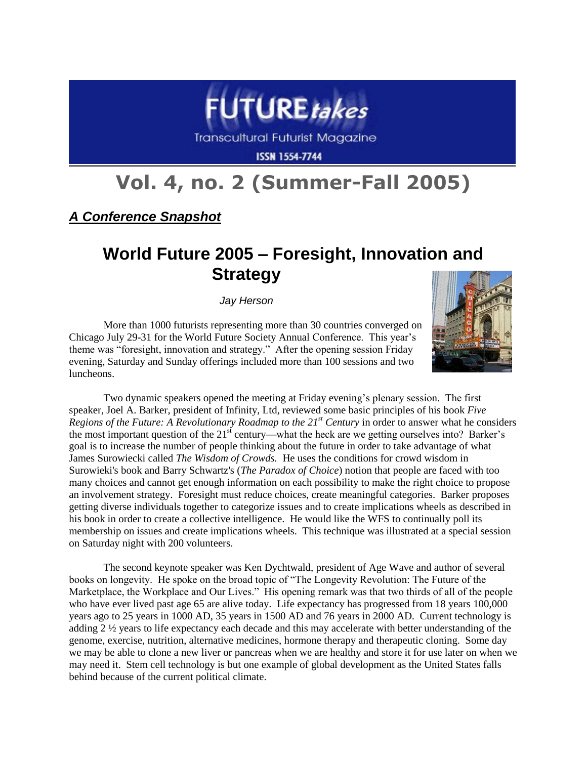

**Transcultural Futurist Magazine** 

**ISSN 1554-7744** 

## **Vol. 4, no. 2 (Summer-Fall 2005)**

*A Conference Snapshot*

## **World Future 2005 – Foresight, Innovation and Strategy**

*Jay Herson*

More than 1000 futurists representing more than 30 countries converged on Chicago July 29-31 for the World Future Society Annual Conference. This year's theme was "foresight, innovation and strategy." After the opening session Friday evening, Saturday and Sunday offerings included more than 100 sessions and two luncheons.



Two dynamic speakers opened the meeting at Friday evening's plenary session. The first speaker, Joel A. Barker, president of Infinity, Ltd, reviewed some basic principles of his book *Five Regions of the Future: A Revolutionary Roadmap to the 21st Century* in order to answer what he considers the most important question of the  $21<sup>st</sup>$  century—what the heck are we getting ourselves into? Barker's goal is to increase the number of people thinking about the future in order to take advantage of what James Surowiecki called *The Wisdom of Crowds.* He uses the conditions for crowd wisdom in Surowieki's book and Barry Schwartz's (*The Paradox of Choice*) notion that people are faced with too many choices and cannot get enough information on each possibility to make the right choice to propose an involvement strategy. Foresight must reduce choices, create meaningful categories. Barker proposes getting diverse individuals together to categorize issues and to create implications wheels as described in his book in order to create a collective intelligence. He would like the WFS to continually poll its membership on issues and create implications wheels. This technique was illustrated at a special session on Saturday night with 200 volunteers.

The second keynote speaker was Ken Dychtwald, president of Age Wave and author of several books on longevity. He spoke on the broad topic of "The Longevity Revolution: The Future of the Marketplace, the Workplace and Our Lives." His opening remark was that two thirds of all of the people who have ever lived past age 65 are alive today. Life expectancy has progressed from 18 years 100,000 years ago to 25 years in 1000 AD, 35 years in 1500 AD and 76 years in 2000 AD. Current technology is adding 2 ½ years to life expectancy each decade and this may accelerate with better understanding of the genome, exercise, nutrition, alternative medicines, hormone therapy and therapeutic cloning. Some day we may be able to clone a new liver or pancreas when we are healthy and store it for use later on when we may need it. Stem cell technology is but one example of global development as the United States falls behind because of the current political climate.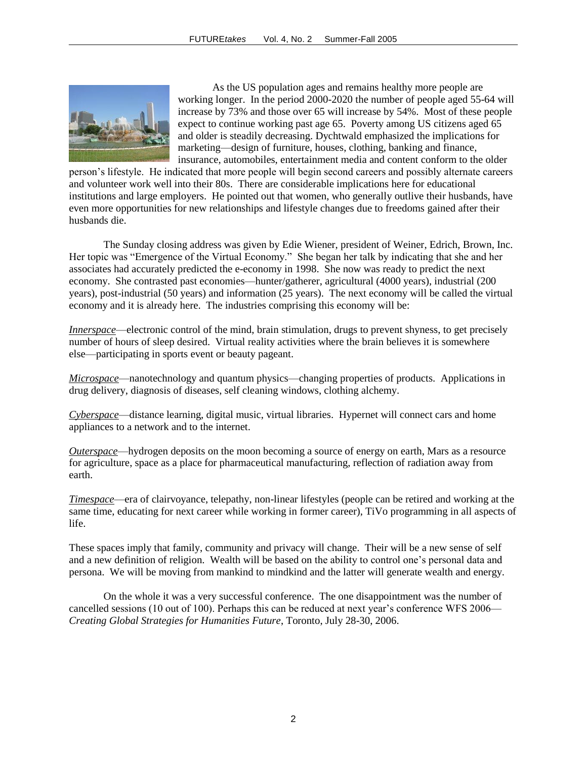

As the US population ages and remains healthy more people are working longer. In the period 2000-2020 the number of people aged 55-64 will increase by 73% and those over 65 will increase by 54%. Most of these people expect to continue working past age 65. Poverty among US citizens aged 65 and older is steadily decreasing. Dychtwald emphasized the implications for marketing—design of furniture, houses, clothing, banking and finance, insurance, automobiles, entertainment media and content conform to the older

person's lifestyle. He indicated that more people will begin second careers and possibly alternate careers and volunteer work well into their 80s. There are considerable implications here for educational institutions and large employers. He pointed out that women, who generally outlive their husbands, have even more opportunities for new relationships and lifestyle changes due to freedoms gained after their husbands die.

The Sunday closing address was given by Edie Wiener, president of Weiner, Edrich, Brown, Inc. Her topic was "Emergence of the Virtual Economy." She began her talk by indicating that she and her associates had accurately predicted the e-economy in 1998. She now was ready to predict the next economy. She contrasted past economies—hunter/gatherer, agricultural (4000 years), industrial (200 years), post-industrial (50 years) and information (25 years). The next economy will be called the virtual economy and it is already here. The industries comprising this economy will be:

*Innerspace—electronic control of the mind, brain stimulation, drugs to prevent shyness, to get precisely* number of hours of sleep desired. Virtual reality activities where the brain believes it is somewhere else—participating in sports event or beauty pageant.

*Microspace*—nanotechnology and quantum physics—changing properties of products. Applications in drug delivery, diagnosis of diseases, self cleaning windows, clothing alchemy.

*Cyberspace*—distance learning, digital music, virtual libraries. Hypernet will connect cars and home appliances to a network and to the internet.

*Outerspace*—hydrogen deposits on the moon becoming a source of energy on earth, Mars as a resource for agriculture, space as a place for pharmaceutical manufacturing, reflection of radiation away from earth.

*Timespace*—era of clairvoyance, telepathy, non-linear lifestyles (people can be retired and working at the same time, educating for next career while working in former career), TiVo programming in all aspects of life.

These spaces imply that family, community and privacy will change. Their will be a new sense of self and a new definition of religion. Wealth will be based on the ability to control one's personal data and persona. We will be moving from mankind to mindkind and the latter will generate wealth and energy.

On the whole it was a very successful conference. The one disappointment was the number of cancelled sessions (10 out of 100). Perhaps this can be reduced at next year's conference WFS 2006— *Creating Global Strategies for Humanities Future*, Toronto, July 28-30, 2006.